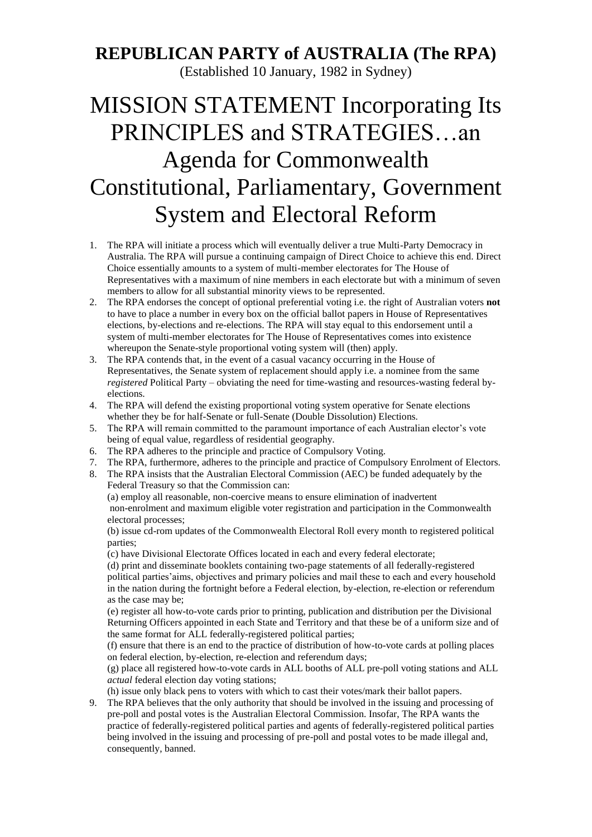## **REPUBLICAN PARTY of AUSTRALIA (The RPA)**

(Established 10 January, 1982 in Sydney)

## MISSION STATEMENT Incorporating Its PRINCIPLES and STRATEGIES…an Agenda for Commonwealth Constitutional, Parliamentary, Government System and Electoral Reform

- 1. The RPA will initiate a process which will eventually deliver a true Multi-Party Democracy in Australia. The RPA will pursue a continuing campaign of Direct Choice to achieve this end. Direct Choice essentially amounts to a system of multi-member electorates for The House of Representatives with a maximum of nine members in each electorate but with a minimum of seven members to allow for all substantial minority views to be represented.
- 2. The RPA endorses the concept of optional preferential voting i.e. the right of Australian voters **not** to have to place a number in every box on the official ballot papers in House of Representatives elections, by-elections and re-elections. The RPA will stay equal to this endorsement until a system of multi-member electorates for The House of Representatives comes into existence whereupon the Senate-style proportional voting system will (then) apply.
- The RPA contends that, in the event of a casual vacancy occurring in the House of Representatives, the Senate system of replacement should apply i.e. a nominee from the same *registered* Political Party – obviating the need for time-wasting and resources-wasting federal byelections.
- 4. The RPA will defend the existing proportional voting system operative for Senate elections whether they be for half-Senate or full-Senate (Double Dissolution) Elections.
- 5. The RPA will remain committed to the paramount importance of each Australian elector's vote being of equal value, regardless of residential geography.
- 6. The RPA adheres to the principle and practice of Compulsory Voting.
- 7. The RPA, furthermore, adheres to the principle and practice of Compulsory Enrolment of Electors.
- 8. The RPA insists that the Australian Electoral Commission (AEC) be funded adequately by the Federal Treasury so that the Commission can:

(a) employ all reasonable, non-coercive means to ensure elimination of inadvertent non-enrolment and maximum eligible voter registration and participation in the Commonwealth electoral processes;

(b) issue cd-rom updates of the Commonwealth Electoral Roll every month to registered political parties;

(c) have Divisional Electorate Offices located in each and every federal electorate;

(d) print and disseminate booklets containing two-page statements of all federally-registered political parties'aims, objectives and primary policies and mail these to each and every household in the nation during the fortnight before a Federal election, by-election, re-election or referendum as the case may be;

(e) register all how-to-vote cards prior to printing, publication and distribution per the Divisional Returning Officers appointed in each State and Territory and that these be of a uniform size and of the same format for ALL federally-registered political parties;

(f) ensure that there is an end to the practice of distribution of how-to-vote cards at polling places on federal election, by-election, re-election and referendum days;

(g) place all registered how-to-vote cards in ALL booths of ALL pre-poll voting stations and ALL *actual* federal election day voting stations;

(h) issue only black pens to voters with which to cast their votes/mark their ballot papers.

9. The RPA believes that the only authority that should be involved in the issuing and processing of pre-poll and postal votes is the Australian Electoral Commission. Insofar, The RPA wants the practice of federally-registered political parties and agents of federally-registered political parties being involved in the issuing and processing of pre-poll and postal votes to be made illegal and, consequently, banned.